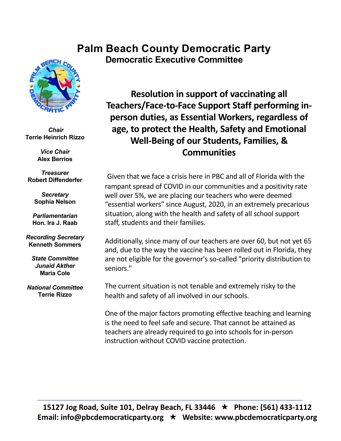## **Palm Beach County Democratic Party Democratic Executive Committee**



*Chair* **Terrie Heinrich Rizzo**

> *Vice Chair* **Alex Berrios**

*Treasurer* **Robert Diffenderfer**

> *Secretary* **Sophia Nelson**

*Parliamentarian* **Hon. Ira J. Raab**

*Recording Secretary* **Kenneth Sommers**

*State Committee Junaid Akther* **Maria Cole**

*National Committee* **Terrie Rizzo**

**Resolution in support of vaccinating all Teachers/Face-to-Face Support Staff performing inperson duties, as Essential Workers, regardless of age, to protect the Health, Safety and Emotional Well-Being of our Students, Families, & Communities**

Given that we face a crisis here in PBC and all of Florida with the rampant spread of COVID in our communities and a positivity rate well over 5%, we are placing our teachers who were deemed "essential workers" since August, 2020, in an extremely precarious situation, along with the health and safety of all school support staff, students and their families.

Additionally, since many of our teachers are over 60, but not yet 65 and, due to the way the vaccine has been rolled out in Florida, they are not eligible for the governor's so-called "priority distribution to seniors."

The current situation is not tenable and extremely risky to the health and safety of all involved in our schools.

One of the major factors promoting effective teaching and learning is the need to feel safe and secure. That cannot be attained as teachers are already required to go into schools for in-person instruction without COVID vaccine protection.